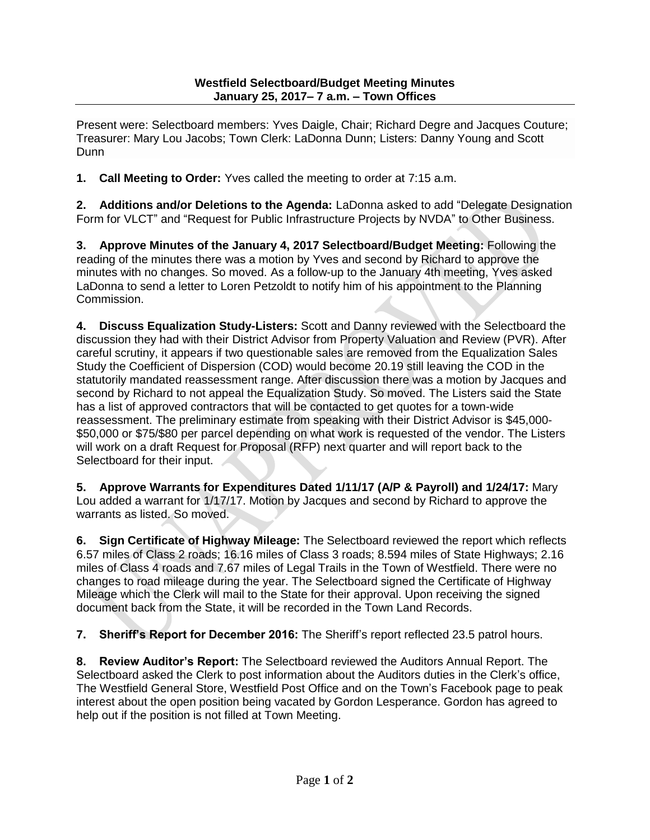Present were: Selectboard members: Yves Daigle, Chair; Richard Degre and Jacques Couture; Treasurer: Mary Lou Jacobs; Town Clerk: LaDonna Dunn; Listers: Danny Young and Scott Dunn

**1. Call Meeting to Order:** Yves called the meeting to order at 7:15 a.m.

**2. Additions and/or Deletions to the Agenda:** LaDonna asked to add "Delegate Designation Form for VLCT" and "Request for Public Infrastructure Projects by NVDA" to Other Business.

**3. Approve Minutes of the January 4, 2017 Selectboard/Budget Meeting:** Following the reading of the minutes there was a motion by Yves and second by Richard to approve the minutes with no changes. So moved. As a follow-up to the January 4th meeting, Yves asked LaDonna to send a letter to Loren Petzoldt to notify him of his appointment to the Planning Commission.

**4. Discuss Equalization Study-Listers:** Scott and Danny reviewed with the Selectboard the discussion they had with their District Advisor from Property Valuation and Review (PVR). After careful scrutiny, it appears if two questionable sales are removed from the Equalization Sales Study the Coefficient of Dispersion (COD) would become 20.19 still leaving the COD in the statutorily mandated reassessment range. After discussion there was a motion by Jacques and second by Richard to not appeal the Equalization Study. So moved. The Listers said the State has a list of approved contractors that will be contacted to get quotes for a town-wide reassessment. The preliminary estimate from speaking with their District Advisor is \$45,000- \$50,000 or \$75/\$80 per parcel depending on what work is requested of the vendor. The Listers will work on a draft Request for Proposal (RFP) next quarter and will report back to the Selectboard for their input.

**5. Approve Warrants for Expenditures Dated 1/11/17 (A/P & Payroll) and 1/24/17:** Mary Lou added a warrant for 1/17/17. Motion by Jacques and second by Richard to approve the warrants as listed. So moved.

**6. Sign Certificate of Highway Mileage:** The Selectboard reviewed the report which reflects 6.57 miles of Class 2 roads; 16.16 miles of Class 3 roads; 8.594 miles of State Highways; 2.16 miles of Class 4 roads and 7.67 miles of Legal Trails in the Town of Westfield. There were no changes to road mileage during the year. The Selectboard signed the Certificate of Highway Mileage which the Clerk will mail to the State for their approval. Upon receiving the signed document back from the State, it will be recorded in the Town Land Records.

**7. Sheriff's Report for December 2016:** The Sheriff's report reflected 23.5 patrol hours.

**8. Review Auditor's Report:** The Selectboard reviewed the Auditors Annual Report. The Selectboard asked the Clerk to post information about the Auditors duties in the Clerk's office, The Westfield General Store, Westfield Post Office and on the Town's Facebook page to peak interest about the open position being vacated by Gordon Lesperance. Gordon has agreed to help out if the position is not filled at Town Meeting.